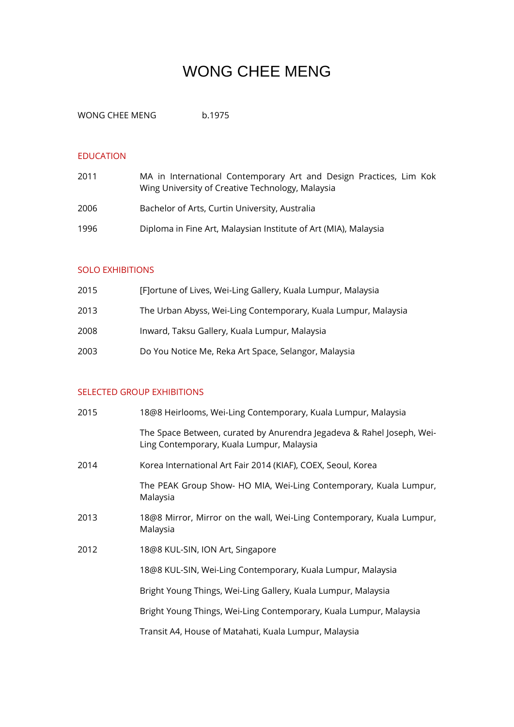# WONG CHEE MENG

WONG CHEE MENG b.1975

#### EDUCATION

| 2011 | MA in International Contemporary Art and Design Practices, Lim Kok<br>Wing University of Creative Technology, Malaysia |
|------|------------------------------------------------------------------------------------------------------------------------|
| 2006 | Bachelor of Arts, Curtin University, Australia                                                                         |
| 1996 | Diploma in Fine Art, Malaysian Institute of Art (MIA), Malaysia                                                        |

## SOLO EXHIBITIONS

| 2015 | [F]ortune of Lives, Wei-Ling Gallery, Kuala Lumpur, Malaysia   |
|------|----------------------------------------------------------------|
| 2013 | The Urban Abyss, Wei-Ling Contemporary, Kuala Lumpur, Malaysia |
| 2008 | Inward, Taksu Gallery, Kuala Lumpur, Malaysia                  |
| 2003 | Do You Notice Me, Reka Art Space, Selangor, Malaysia           |

## SELECTED GROUP EXHIBITIONS

| 2015 | 18@8 Heirlooms, Wei-Ling Contemporary, Kuala Lumpur, Malaysia                                                      |
|------|--------------------------------------------------------------------------------------------------------------------|
|      | The Space Between, curated by Anurendra Jegadeva & Rahel Joseph, Wei-<br>Ling Contemporary, Kuala Lumpur, Malaysia |
| 2014 | Korea International Art Fair 2014 (KIAF), COEX, Seoul, Korea                                                       |
|      | The PEAK Group Show- HO MIA, Wei-Ling Contemporary, Kuala Lumpur,<br>Malaysia                                      |
| 2013 | 18@8 Mirror, Mirror on the wall, Wei-Ling Contemporary, Kuala Lumpur,<br>Malaysia                                  |
| 2012 | 18@8 KUL-SIN, ION Art, Singapore                                                                                   |
|      | 18@8 KUL-SIN, Wei-Ling Contemporary, Kuala Lumpur, Malaysia                                                        |
|      | Bright Young Things, Wei-Ling Gallery, Kuala Lumpur, Malaysia                                                      |
|      | Bright Young Things, Wei-Ling Contemporary, Kuala Lumpur, Malaysia                                                 |
|      | Transit A4, House of Matahati, Kuala Lumpur, Malaysia                                                              |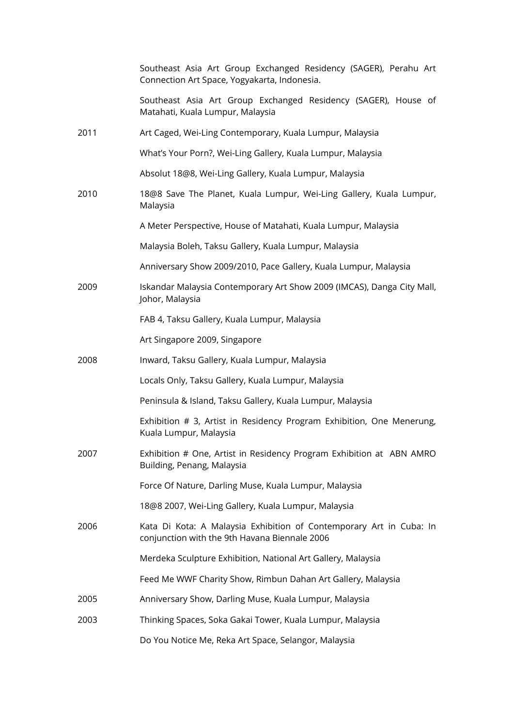|      | Southeast Asia Art Group Exchanged Residency (SAGER), Perahu Art<br>Connection Art Space, Yogyakarta, Indonesia.     |
|------|----------------------------------------------------------------------------------------------------------------------|
|      | Southeast Asia Art Group Exchanged Residency (SAGER), House of<br>Matahati, Kuala Lumpur, Malaysia                   |
| 2011 | Art Caged, Wei-Ling Contemporary, Kuala Lumpur, Malaysia                                                             |
|      | What's Your Porn?, Wei-Ling Gallery, Kuala Lumpur, Malaysia                                                          |
|      | Absolut 18@8, Wei-Ling Gallery, Kuala Lumpur, Malaysia                                                               |
| 2010 | 18@8 Save The Planet, Kuala Lumpur, Wei-Ling Gallery, Kuala Lumpur,<br>Malaysia                                      |
|      | A Meter Perspective, House of Matahati, Kuala Lumpur, Malaysia                                                       |
|      | Malaysia Boleh, Taksu Gallery, Kuala Lumpur, Malaysia                                                                |
|      | Anniversary Show 2009/2010, Pace Gallery, Kuala Lumpur, Malaysia                                                     |
| 2009 | Iskandar Malaysia Contemporary Art Show 2009 (IMCAS), Danga City Mall,<br>Johor, Malaysia                            |
|      | FAB 4, Taksu Gallery, Kuala Lumpur, Malaysia                                                                         |
|      | Art Singapore 2009, Singapore                                                                                        |
| 2008 | Inward, Taksu Gallery, Kuala Lumpur, Malaysia                                                                        |
|      | Locals Only, Taksu Gallery, Kuala Lumpur, Malaysia                                                                   |
|      | Peninsula & Island, Taksu Gallery, Kuala Lumpur, Malaysia                                                            |
|      | Exhibition # 3, Artist in Residency Program Exhibition, One Menerung,<br>Kuala Lumpur, Malaysia                      |
| 2007 | Exhibition # One, Artist in Residency Program Exhibition at ABN AMRO<br>Building, Penang, Malaysia                   |
|      | Force Of Nature, Darling Muse, Kuala Lumpur, Malaysia                                                                |
|      | 18@8 2007, Wei-Ling Gallery, Kuala Lumpur, Malaysia                                                                  |
| 2006 | Kata Di Kota: A Malaysia Exhibition of Contemporary Art in Cuba: In<br>conjunction with the 9th Havana Biennale 2006 |
|      | Merdeka Sculpture Exhibition, National Art Gallery, Malaysia                                                         |
|      | Feed Me WWF Charity Show, Rimbun Dahan Art Gallery, Malaysia                                                         |
| 2005 | Anniversary Show, Darling Muse, Kuala Lumpur, Malaysia                                                               |
| 2003 | Thinking Spaces, Soka Gakai Tower, Kuala Lumpur, Malaysia                                                            |
|      | Do You Notice Me, Reka Art Space, Selangor, Malaysia                                                                 |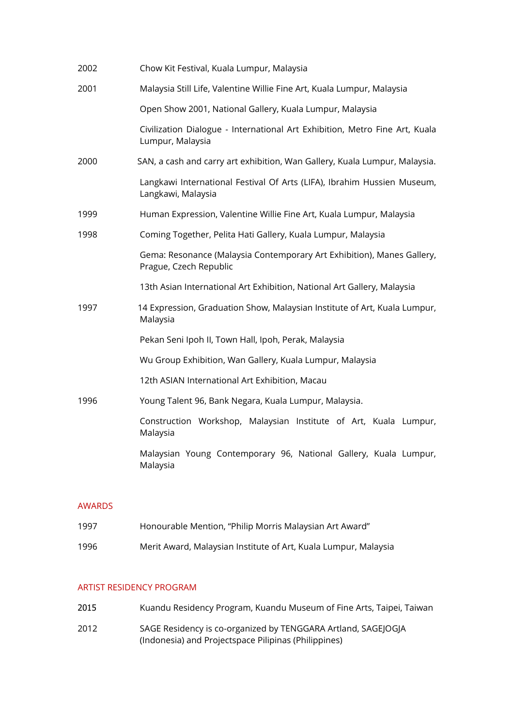| 2002 | Chow Kit Festival, Kuala Lumpur, Malaysia                                                        |
|------|--------------------------------------------------------------------------------------------------|
| 2001 | Malaysia Still Life, Valentine Willie Fine Art, Kuala Lumpur, Malaysia                           |
|      | Open Show 2001, National Gallery, Kuala Lumpur, Malaysia                                         |
|      | Civilization Dialogue - International Art Exhibition, Metro Fine Art, Kuala<br>Lumpur, Malaysia  |
| 2000 | SAN, a cash and carry art exhibition, Wan Gallery, Kuala Lumpur, Malaysia.                       |
|      | Langkawi International Festival Of Arts (LIFA), Ibrahim Hussien Museum,<br>Langkawi, Malaysia    |
| 1999 | Human Expression, Valentine Willie Fine Art, Kuala Lumpur, Malaysia                              |
| 1998 | Coming Together, Pelita Hati Gallery, Kuala Lumpur, Malaysia                                     |
|      | Gema: Resonance (Malaysia Contemporary Art Exhibition), Manes Gallery,<br>Prague, Czech Republic |
|      | 13th Asian International Art Exhibition, National Art Gallery, Malaysia                          |
| 1997 | 14 Expression, Graduation Show, Malaysian Institute of Art, Kuala Lumpur,<br>Malaysia            |
|      | Pekan Seni Ipoh II, Town Hall, Ipoh, Perak, Malaysia                                             |
|      | Wu Group Exhibition, Wan Gallery, Kuala Lumpur, Malaysia                                         |
|      | 12th ASIAN International Art Exhibition, Macau                                                   |
| 1996 | Young Talent 96, Bank Negara, Kuala Lumpur, Malaysia.                                            |
|      | Construction Workshop, Malaysian Institute of Art, Kuala Lumpur,<br>Malaysia                     |
|      | Malaysian Young Contemporary 96, National Gallery, Kuala Lumpur,<br>Malaysia                     |

#### AWARDS

1996 Merit Award, Malaysian Institute of Art, Kuala Lumpur, Malaysia

#### ARTIST RESIDENCY PROGRAM

- 2015 Kuandu Residency Program, Kuandu Museum of Fine Arts, Taipei, Taiwan
- 2012 SAGE Residency is co-organized by TENGGARA Artland, SAGEJOGJA (Indonesia) and Projectspace Pilipinas (Philippines)